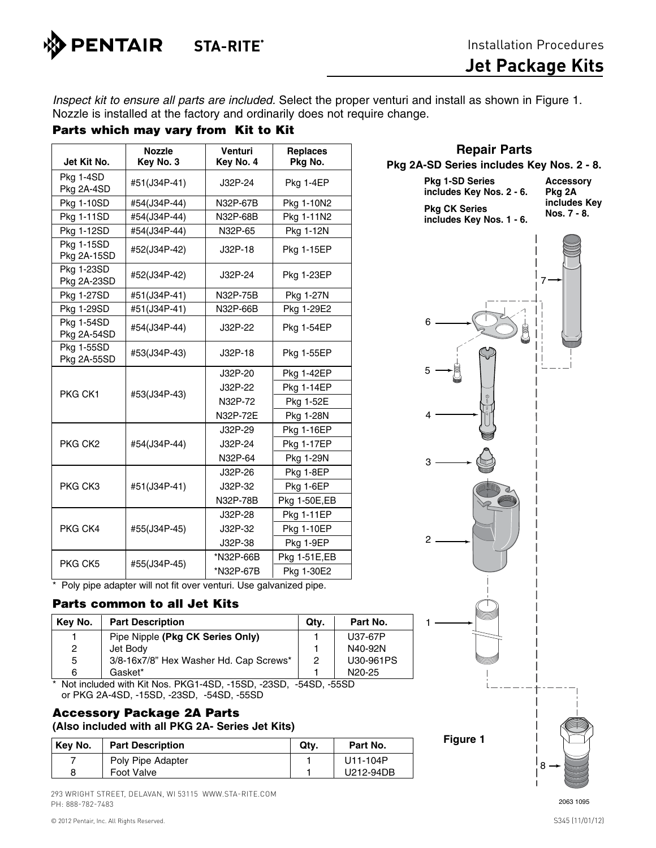

**Repair Parts**

*Inspect kit to ensure all parts are included.* Select the proper venturi and install as shown in Figure 1. Nozzle is installed at the factory and ordinarily does not require change.

# Parts which may vary from Kit to Kit

| Jet Kit No.               | <b>Nozzle</b><br>Key No. 3 | Venturi<br>Key No. 4 | <b>Replaces</b><br>Pkg No. |
|---------------------------|----------------------------|----------------------|----------------------------|
| Pkg 1-4SD<br>Pkg 2A-4SD   | #51(J34P-41)               | J32P-24              | Pkg 1-4EP                  |
| <b>Pkg 1-10SD</b>         | #54(J34P-44)               | N32P-67B             | Pkg 1-10N2                 |
| <b>Pkg 1-11SD</b>         | #54(J34P-44)               | N32P-68B             | Pkg 1-11N2                 |
| Pkg 1-12SD                | #54(J34P-44)               | N32P-65              | Pkg 1-12N                  |
| Pkg 1-15SD<br>Pkg 2A-15SD | #52(J34P-42)               | $J32P-18$            | <b>Pkg 1-15EP</b>          |
| Pkg 1-23SD<br>Pkg 2A-23SD | #52(J34P-42)               | J32P-24              | <b>Pkg 1-23EP</b>          |
| Pkg 1-27SD                | #51(J34P-41)               | N32P-75B             | Pkg 1-27N                  |
| Pkg 1-29SD                | #51(J34P-41)               | N32P-66B             | Pkg 1-29E2                 |
| Pkg 1-54SD<br>Pkg 2A-54SD | #54(J34P-44)               | J32P-22              | <b>Pkg 1-54EP</b>          |
| Pkg 1-55SD<br>Pkg 2A-55SD | #53(J34P-43)               | J32P-18              | <b>Pkg 1-55EP</b>          |
| PKG CK1                   | #53(J34P-43)               | J32P-20              | <b>Pkg 1-42EP</b>          |
|                           |                            | J32P-22              | <b>Pkg 1-14EP</b>          |
|                           |                            | N32P-72              | Pkg 1-52E                  |
|                           |                            | N32P-72E             | Pkg 1-28N                  |
|                           |                            | J32P-29              | <b>Pkg 1-16EP</b>          |
| PKG CK <sub>2</sub>       | #54(J34P-44)               | J32P-24              | <b>Pkg 1-17EP</b>          |
|                           |                            | N32P-64              | Pkg 1-29N                  |
|                           |                            | J32P-26              | Pkg 1-8EP                  |
| PKG CK3                   | #51(J34P-41)               | J32P-32              | Pkg 1-6EP                  |
|                           |                            | N32P-78B             | Pkg 1-50E,EB               |
|                           |                            | J32P-28              | <b>Pkg 1-11EP</b>          |
| PKG CK4                   | #55(J34P-45)               | J32P-32              | <b>Pkg 1-10EP</b>          |
|                           |                            | J32P-38              | Pkg 1-9EP                  |
| PKG CK5                   | #55(J34P-45)               | *N32P-66B            | Pkg 1-51E,EB               |
|                           |                            | *N32P-67B            | Pkg 1-30E2                 |

\* Poly pipe adapter will not fit over venturi. Use galvanized pipe.

#### Parts common to all Jet Kits

| Key No. | <b>Part Description</b>                | Qtv. | Part No.            |
|---------|----------------------------------------|------|---------------------|
|         | Pipe Nipple (Pkg CK Series Only)       |      | U37-67P             |
| 2       | Jet Body                               |      | N40-92N             |
| 5       | 3/8-16x7/8" Hex Washer Hd. Cap Screws* | 2    | U30-961PS           |
| 6       | Gasket*                                |      | N <sub>20</sub> -25 |

\* Not included with Kit Nos. PKG1-4SD, -15SD, -23SD, -54SD, -55SD or PKG 2A-4SD, -15SD, -23SD, -54SD, -55SD

## Accessory Package 2A Parts **(Also included with all PKG 2A- Series Jet Kits)**

| Kev No. | <b>Part Description</b> | Qtv. | Part No.  |
|---------|-------------------------|------|-----------|
|         | Poly Pipe Adapter       |      | U11-104P  |
| 8       | Foot Valve              |      | U212-94DB |

293 WRIGHT STREET, DELAVAN, WI 53115 WWW.STA-RITE.COM PH: 888-782-7483